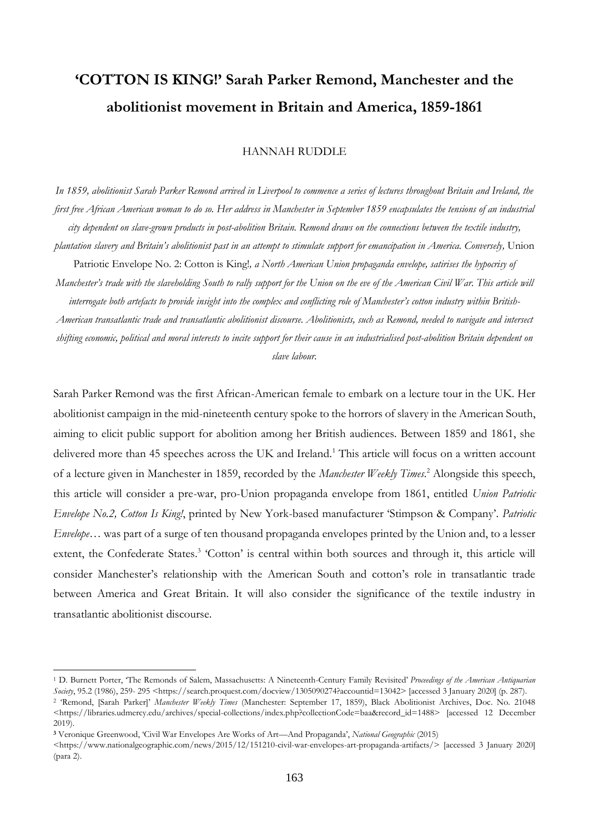# **'COTTON IS KING!' Sarah Parker Remond, Manchester and the abolitionist movement in Britain and America, 1859-1861**

### HANNAH RUDDLE

*In 1859, abolitionist Sarah Parker Remond arrived in Liverpool to commence a series of lectures throughout Britain and Ireland, the first free African American woman to do so. Her address in Manchester in September 1859 encapsulates the tensions of an industrial city dependent on slave-grown products in post-abolition Britain. Remond draws on the connections between the textile industry, plantation slavery and Britain's abolitionist past in an attempt to stimulate support for emancipation in America. Conversely,* Union Patriotic Envelope No. 2: Cotton is King!, a North American Union propaganda envelope, satirises the hypocrisy of *Manchester's trade with the slaveholding South to rally support for the Union on the eve of the American Civil War. This article will interrogate both artefacts to provide insight into the complex and conflicting role of Manchester's cotton industry within British-American transatlantic trade and transatlantic abolitionist discourse. Abolitionists, such as Remond, needed to navigate and intersect shifting economic, political and moral interests to incite support for their cause in an industrialised post-abolition Britain dependent on* 

*slave labour.* 

Sarah Parker Remond was the first African-American female to embark on a lecture tour in the UK. Her abolitionist campaign in the mid-nineteenth century spoke to the horrors of slavery in the American South, aiming to elicit public support for abolition among her British audiences. Between 1859 and 1861, she delivered more than 45 speeches across the UK and Ireland.<sup>1</sup> This article will focus on a written account of a lecture given in Manchester in 1859, recorded by the *Manchester Weekly Times*. <sup>2</sup> Alongside this speech, this article will consider a pre-war, pro-Union propaganda envelope from 1861, entitled *Union Patriotic Envelope No.2, Cotton Is King!*, printed by New York-based manufacturer 'Stimpson & Company'. *Patriotic Envelope…* was part of a surge of ten thousand propaganda envelopes printed by the Union and, to a lesser extent, the Confederate States.<sup>3</sup> 'Cotton' is central within both sources and through it, this article will consider Manchester's relationship with the American South and cotton's role in transatlantic trade between America and Great Britain. It will also consider the significance of the textile industry in transatlantic abolitionist discourse.

<sup>1</sup> D. Burnett Porter, 'The Remonds of Salem, Massachusetts: A Nineteenth-Century Family Revisited' *Proceedings of the American Antiquarian Society*, 95.2 (1986), 259- 295 <https://search.proquest.com/docview/1305090274?accountid=13042> [accessed 3 January 2020] (p. 287).

<sup>2</sup> 'Remond, [Sarah Parker]' *Manchester Weekly Times* (Manchester: September 17, 1859), Black Abolitionist Archives, Doc. No. 21048 <https://libraries.udmercy.edu/archives/special-collections/index.php?collectionCode=baa&record\_id=1488> [accessed 12 December 2019).

**<sup>3</sup>** Veronique Greenwood, 'Civil War Envelopes Are Works of Art—And Propaganda', *National Geographic* (2015)

 $\langle$ https://www.nationalgeographic.com/news/2015/12/151210-civil-war-envelopes-art-propaganda-artifacts/> [accessed 3 January 2020] (para 2).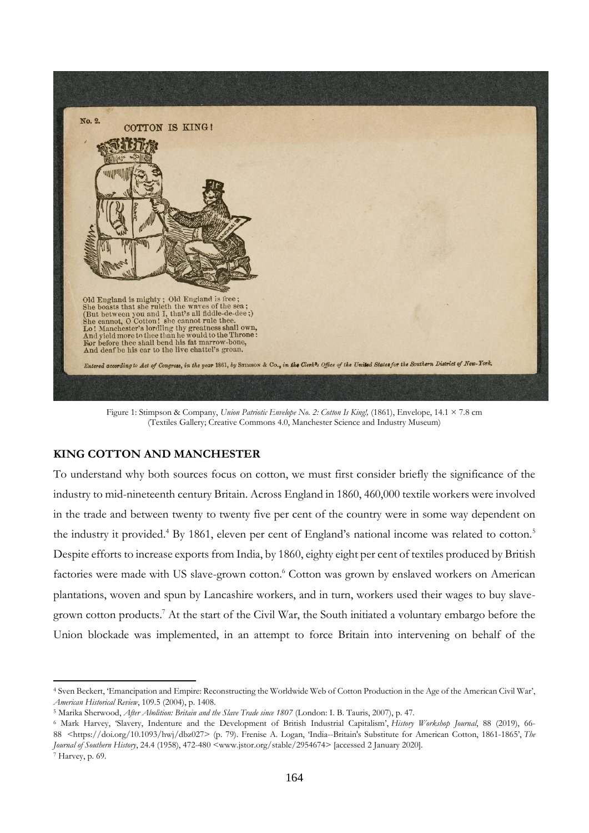

Figure 1: Stimpson & Company, *Union Patriotic Envelope No. 2: Cotton Is King!,* (1861), Envelope, 14.1 × 7.8 cm (Textiles Gallery; Creative Commons 4.0, Manchester Science and Industry Museum)

# **KING COTTON AND MANCHESTER**

To understand why both sources focus on cotton, we must first consider briefly the significance of the industry to mid-nineteenth century Britain. Across England in 1860, 460,000 textile workers were involved in the trade and between twenty to twenty five per cent of the country were in some way dependent on the industry it provided.<sup>4</sup> By 1861, eleven per cent of England's national income was related to cotton.<sup>5</sup> Despite efforts to increase exports from India, by 1860, eighty eight per cent of textiles produced by British factories were made with US slave-grown cotton.<sup>6</sup> Cotton was grown by enslaved workers on American plantations, woven and spun by Lancashire workers, and in turn, workers used their wages to buy slavegrown cotton products.<sup>7</sup> At the start of the Civil War, the South initiated a voluntary embargo before the Union blockade was implemented, in an attempt to force Britain into intervening on behalf of the

<sup>4</sup> Sven Beckert, 'Emancipation and Empire: Reconstructing the Worldwide Web of Cotton Production in the Age of the American Civil War', *American Historical Review*, 109.5 (2004), p. 1408.

<sup>5</sup> Marika Sherwood, *After Abolition: Britain and the Slave Trade since 1807* (London: I. B. Tauris, 2007), p. 47.

<sup>6</sup> Mark Harvey, 'Slavery, Indenture and the Development of British Industrial Capitalism', *History Workshop Journal*, 88 (2019), 66- 88 <https://doi.org/10.1093/hwj/dbz027> (p. 79). Frenise A. Logan, 'India--Britain's Substitute for American Cotton, 1861-1865', *The Journal of Southern History*, 24.4 (1958), 472-480 <www.jstor.org/stable/2954674> [accessed 2 January 2020]. <sup>7</sup> Harvey, p. 69.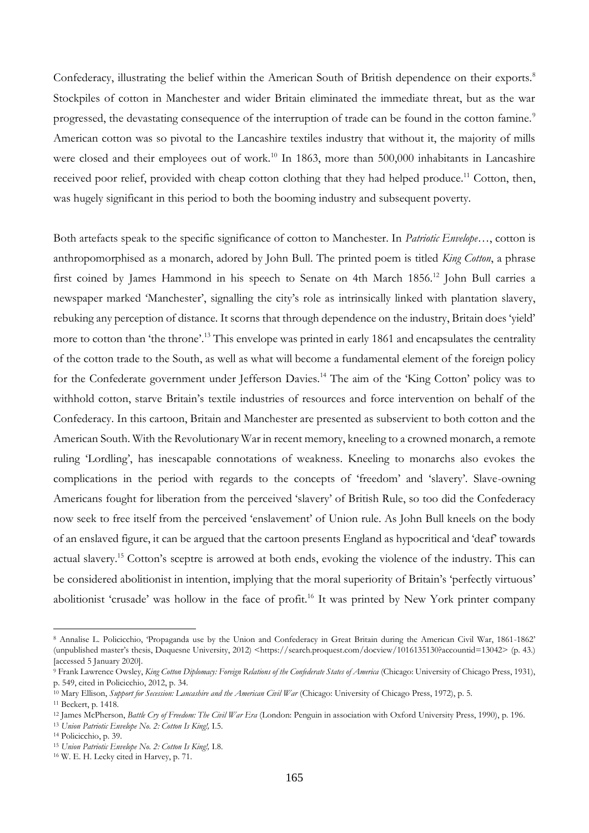Confederacy, illustrating the belief within the American South of British dependence on their exports.<sup>8</sup> Stockpiles of cotton in Manchester and wider Britain eliminated the immediate threat, but as the war progressed, the devastating consequence of the interruption of trade can be found in the cotton famine.<sup>9</sup> American cotton was so pivotal to the Lancashire textiles industry that without it, the majority of mills were closed and their employees out of work.<sup>10</sup> In 1863, more than 500,000 inhabitants in Lancashire received poor relief, provided with cheap cotton clothing that they had helped produce.<sup>11</sup> Cotton, then, was hugely significant in this period to both the booming industry and subsequent poverty.

Both artefacts speak to the specific significance of cotton to Manchester. In *Patriotic Envelope…*, cotton is anthropomorphised as a monarch, adored by John Bull. The printed poem is titled *King Cotton*, a phrase first coined by James Hammond in his speech to Senate on 4th March 1856.<sup>12</sup> John Bull carries a newspaper marked 'Manchester', signalling the city's role as intrinsically linked with plantation slavery, rebuking any perception of distance. It scorns that through dependence on the industry, Britain does 'yield' more to cotton than 'the throne'.<sup>13</sup> This envelope was printed in early 1861 and encapsulates the centrality of the cotton trade to the South, as well as what will become a fundamental element of the foreign policy for the Confederate government under Jefferson Davies.<sup>14</sup> The aim of the 'King Cotton' policy was to withhold cotton, starve Britain's textile industries of resources and force intervention on behalf of the Confederacy. In this cartoon, Britain and Manchester are presented as subservient to both cotton and the American South. With the Revolutionary War in recent memory, kneeling to a crowned monarch, a remote ruling 'Lordling', has inescapable connotations of weakness. Kneeling to monarchs also evokes the complications in the period with regards to the concepts of 'freedom' and 'slavery'. Slave-owning Americans fought for liberation from the perceived 'slavery' of British Rule, so too did the Confederacy now seek to free itself from the perceived 'enslavement' of Union rule. As John Bull kneels on the body of an enslaved figure, it can be argued that the cartoon presents England as hypocritical and 'deaf' towards actual slavery.<sup>15</sup> Cotton's sceptre is arrowed at both ends, evoking the violence of the industry. This can be considered abolitionist in intention, implying that the moral superiority of Britain's 'perfectly virtuous' abolitionist 'crusade' was hollow in the face of profit.<sup>16</sup> It was printed by New York printer company

<sup>8</sup> Annalise L. Policicchio, 'Propaganda use by the Union and Confederacy in Great Britain during the American Civil War, 1861-1862' (unpublished master's thesis, Duquesne University, 2012) <https://search.proquest.com/docview/1016135130?accountid=13042> (p. 43.) [accessed 5 January 2020].

<sup>9</sup> Frank Lawrence Owsley, *King Cotton Diplomacy: Foreign Relations of the Confederate States of America* (Chicago: University of Chicago Press, 1931), p. 549, cited in Policicchio, 2012, p. 34.

<sup>10</sup> Mary Ellison, *Support for Secession: Lancashire and the American Civil War* (Chicago: University of Chicago Press, 1972), p. 5.

<sup>11</sup> Beckert, p. 1418.

<sup>12</sup> James McPherson, *Battle Cry of Freedom: The Civil War Era* (London: Penguin in association with Oxford University Press, 1990), p. 196.

<sup>13</sup> *Union Patriotic Envelope No. 2: Cotton Is King!,* I.5.

<sup>14</sup> Policicchio, p. 39.

<sup>15</sup> *Union Patriotic Envelope No. 2: Cotton Is King!,* I.8.

<sup>16</sup> W. E. H. Lecky cited in Harvey, p. 71.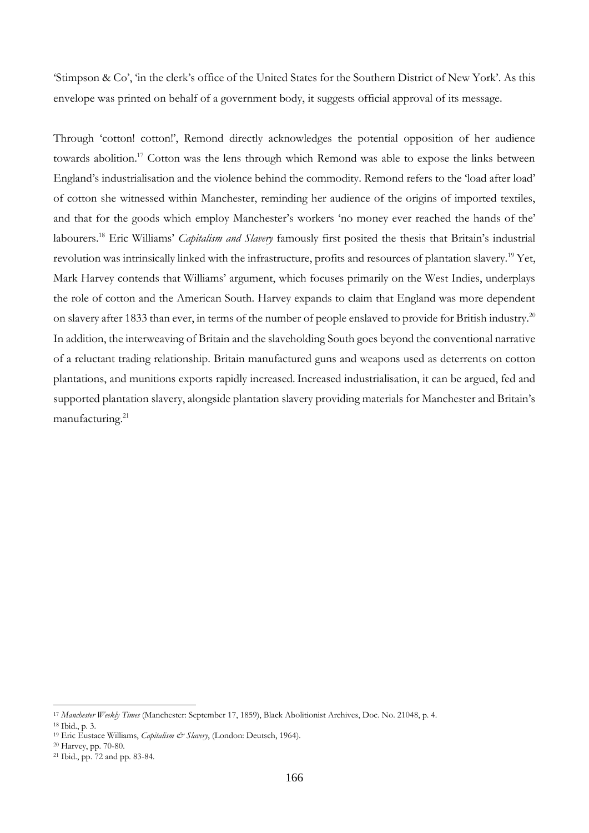'Stimpson & Co', 'in the clerk's office of the United States for the Southern District of New York'. As this envelope was printed on behalf of a government body, it suggests official approval of its message.

Through 'cotton! cotton!', Remond directly acknowledges the potential opposition of her audience towards abolition.<sup>17</sup> Cotton was the lens through which Remond was able to expose the links between England's industrialisation and the violence behind the commodity. Remond refers to the 'load after load' of cotton she witnessed within Manchester, reminding her audience of the origins of imported textiles, and that for the goods which employ Manchester's workers 'no money ever reached the hands of the' labourers.<sup>18</sup> Eric Williams' *Capitalism and Slavery* famously first posited the thesis that Britain's industrial revolution was intrinsically linked with the infrastructure, profits and resources of plantation slavery.<sup>19</sup> Yet, Mark Harvey contends that Williams' argument, which focuses primarily on the West Indies, underplays the role of cotton and the American South. Harvey expands to claim that England was more dependent on slavery after 1833 than ever, in terms of the number of people enslaved to provide for British industry.<sup>20</sup> In addition, the interweaving of Britain and the slaveholding South goes beyond the conventional narrative of a reluctant trading relationship. Britain manufactured guns and weapons used as deterrents on cotton plantations, and munitions exports rapidly increased.Increased industrialisation, it can be argued, fed and supported plantation slavery, alongside plantation slavery providing materials for Manchester and Britain's manufacturing.<sup>21</sup>

<sup>17</sup> *Manchester Weekly Times* (Manchester: September 17, 1859), Black Abolitionist Archives, Doc. No. 21048, p. 4.

<sup>18</sup> Ibid., p. 3.

<sup>&</sup>lt;sup>19</sup> Eric Eustace Williams, *Capitalism & Slavery*, (London: Deutsch, 1964).

<sup>20</sup> Harvey, pp. 70-80.

<sup>21</sup> Ibid., pp. 72 and pp. 83-84.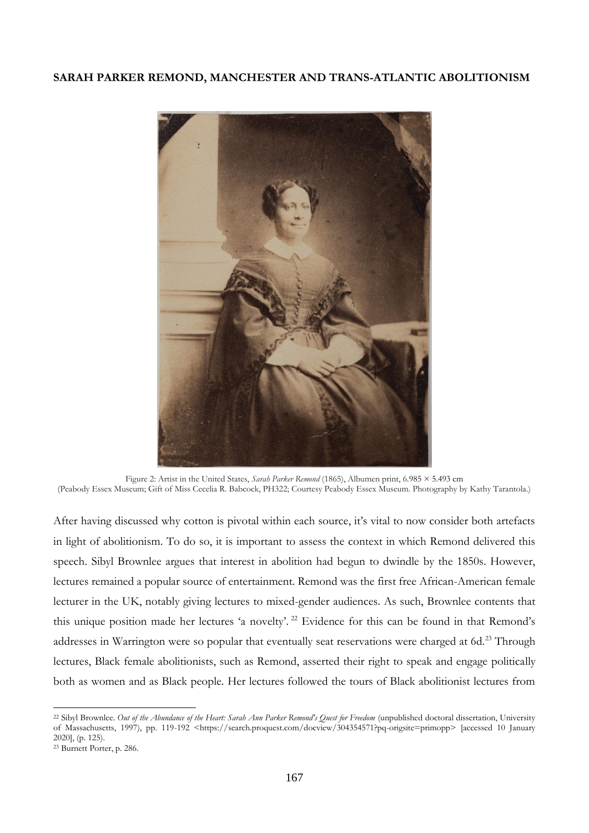## **SARAH PARKER REMOND, MANCHESTER AND TRANS-ATLANTIC ABOLITIONISM**



Figure 2: Artist in the United States, *Sarah Parker Remond* (1865), Albumen print, 6.985 × 5.493 cm (Peabody Essex Museum; Gift of Miss Cecelia R. Babcock, PH322; Courtesy Peabody Essex Museum. Photography by Kathy Tarantola.)

After having discussed why cotton is pivotal within each source, it's vital to now consider both artefacts in light of abolitionism. To do so, it is important to assess the context in which Remond delivered this speech. Sibyl Brownlee argues that interest in abolition had begun to dwindle by the 1850s. However, lectures remained a popular source of entertainment. Remond was the first free African-American female lecturer in the UK, notably giving lectures to mixed-gender audiences. As such, Brownlee contents that this unique position made her lectures 'a novelty'. <sup>22</sup> Evidence for this can be found in that Remond's addresses in Warrington were so popular that eventually seat reservations were charged at 6d.<sup>23</sup> Through lectures, Black female abolitionists, such as Remond, asserted their right to speak and engage politically both as women and as Black people. Her lectures followed the tours of Black abolitionist lectures from

<sup>22</sup> Sibyl Brownlee. *Out of the Abundance of the Heart: Sarah Ann Parker Remond's Quest for Freedom* (unpublished doctoral dissertation, University of Massachusetts, 1997), pp. 119-192 <https://search.proquest.com/docview/304354571?pq-origsite=primopp> [accessed 10 January 2020], (p. 125).

<sup>23</sup> Burnett Porter, p. 286.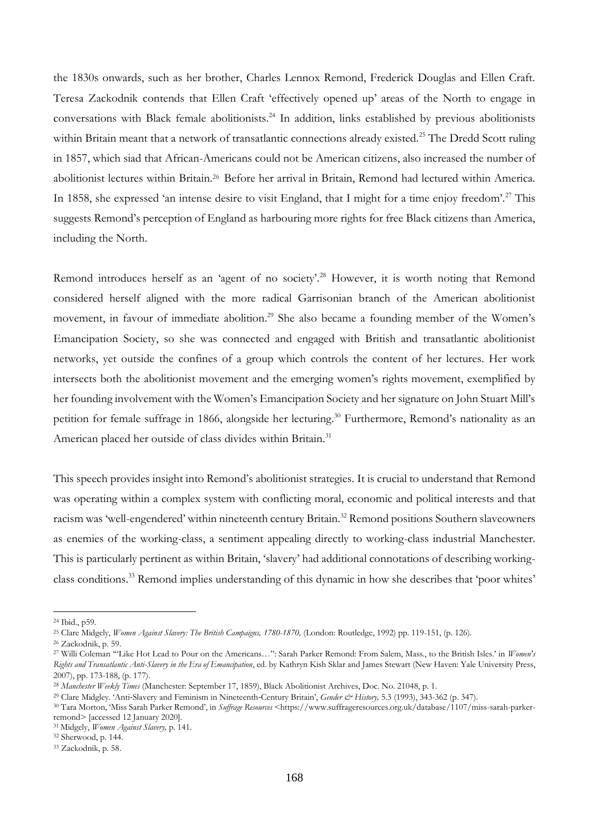the 1830s onwards, such as her brother, Charles Lennox Remond, Frederick Douglas and Ellen Craft. Teresa Zackodnik contends that Ellen Craft 'effectively opened up' areas of the North to engage in conversations with Black female abolitionists.<sup>24</sup> In addition, links established by previous abolitionists within Britain meant that a network of transatlantic connections already existed.<sup>25</sup> The Dredd Scott ruling in 1857, which siad that African-Americans could not be American citizens, also increased the number of abolitionist lectures within Britain.<sup>26</sup> Before her arrival in Britain, Remond had lectured within America. In 1858, she expressed 'an intense desire to visit England, that I might for a time enjoy freedom'.<sup>27</sup> This suggests Remond's perception of England as harbouring more rights for free Black citizens than America, including the North.

Remond introduces herself as an 'agent of no society'.<sup>28</sup> However, it is worth noting that Remond considered herself aligned with the more radical Garrisonian branch of the American abolitionist movement, in favour of immediate abolition.<sup>29</sup> She also became a founding member of the Women's Emancipation Society, so she was connected and engaged with British and transatlantic abolitionist networks, yet outside the confines of a group which controls the content of her lectures. Her work intersects both the abolitionist movement and the emerging women's rights movement, exemplified by her founding involvement with the Women's Emancipation Society and her signature on John Stuart Mill's petition for female suffrage in 1866, alongside her lecturing.<sup>30</sup> Furthermore, Remond's nationality as an American placed her outside of class divides within Britain.<sup>31</sup>

This speech provides insight into Remond's abolitionist strategies. It is crucial to understand that Remond was operating within a complex system with conflicting moral, economic and political interests and that racism was 'well-engendered' within nineteenth century Britain.<sup>32</sup> Remond positions Southern slaveowners as enemies of the working-class, a sentiment appealing directly to working-class industrial Manchester. This is particularly pertinent as within Britain, 'slavery' had additional connotations of describing workingclass conditions.<sup>33</sup> Remond implies understanding of this dynamic in how she describes that 'poor whites'

<sup>24</sup> Ibid., p59.

<sup>25</sup> Clare Midgely, *Women Against Slavery: The British Campaigns, 1780-1870,* (London: Routledge, 1992) pp. 119-151, (p. 126).

<sup>26</sup> Zackodnik, p. 59.

<sup>27</sup> Willi Coleman '"Like Hot Lead to Pour on the Americans…'': Sarah Parker Remond: From Salem, Mass., to the British Isles.' in *Women's Rights and Transatlantic Anti-Slavery in the Era of Emancipation*, ed. by Kathryn Kish Sklar and James Stewart (New Haven: Yale University Press, 2007), pp. 173-188, (p. 177).

<sup>28</sup> *Manchester Weekly Times* (Manchester: September 17, 1859), Black Abolitionist Archives, Doc. No. 21048, p. 1.

<sup>29</sup> Clare Midgley. 'Anti‐Slavery and Feminism in Nineteenth‐Century Britain', *Gender & History,* 5.3 (1993), 343-362 (p. 347).

<sup>30</sup> Tara Morton, 'Miss Sarah Parker Remond', in *Suffrage Resources* <https://www.suffrageresources.org.uk/database/1107/miss-sarah-parkerremond> [accessed 12 January 2020].

<sup>31</sup> Midgely, *Women Against Slavery,* p. 141.

<sup>32</sup> Sherwood, p. 144.

<sup>33</sup> Zackodnik, p. 58.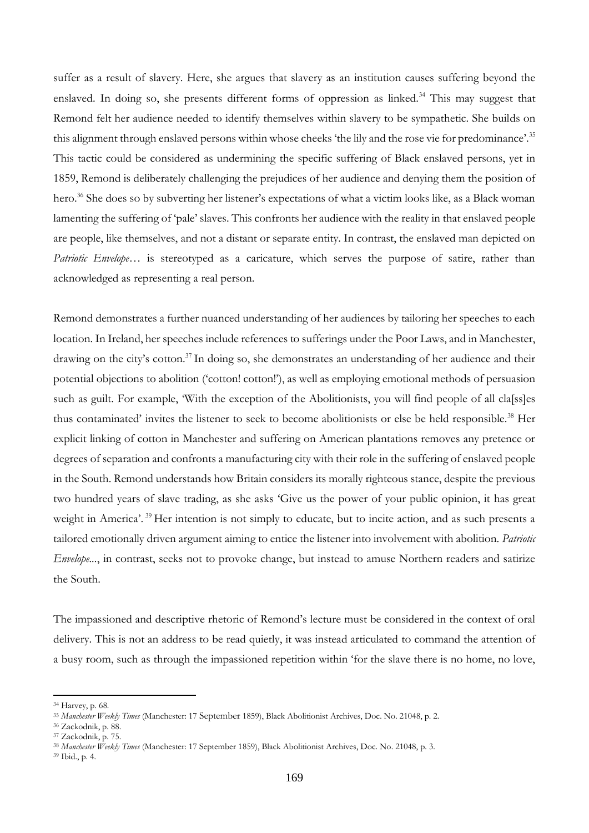suffer as a result of slavery. Here, she argues that slavery as an institution causes suffering beyond the enslaved. In doing so, she presents different forms of oppression as linked.<sup>34</sup> This may suggest that Remond felt her audience needed to identify themselves within slavery to be sympathetic. She builds on this alignment through enslaved persons within whose cheeks 'the lily and the rose vie for predominance'.<sup>35</sup> This tactic could be considered as undermining the specific suffering of Black enslaved persons, yet in 1859, Remond is deliberately challenging the prejudices of her audience and denying them the position of hero.<sup>36</sup> She does so by subverting her listener's expectations of what a victim looks like, as a Black woman lamenting the suffering of 'pale' slaves. This confronts her audience with the reality in that enslaved people are people, like themselves, and not a distant or separate entity. In contrast, the enslaved man depicted on *Patriotic Envelope...* is stereotyped as a caricature, which serves the purpose of satire, rather than acknowledged as representing a real person.

Remond demonstrates a further nuanced understanding of her audiences by tailoring her speeches to each location. In Ireland, her speeches include references to sufferings under the Poor Laws, and in Manchester, drawing on the city's cotton.<sup>37</sup> In doing so, she demonstrates an understanding of her audience and their potential objections to abolition ('cotton! cotton!'), as well as employing emotional methods of persuasion such as guilt. For example, 'With the exception of the Abolitionists, you will find people of all classles thus contaminated' invites the listener to seek to become abolitionists or else be held responsible.<sup>38</sup> Her explicit linking of cotton in Manchester and suffering on American plantations removes any pretence or degrees of separation and confronts a manufacturing city with their role in the suffering of enslaved people in the South. Remond understands how Britain considers its morally righteous stance, despite the previous two hundred years of slave trading, as she asks 'Give us the power of your public opinion, it has great weight in America'. <sup>39</sup> Her intention is not simply to educate, but to incite action, and as such presents a tailored emotionally driven argument aiming to entice the listener into involvement with abolition. *Patriotic Envelope...*, in contrast, seeks not to provoke change, but instead to amuse Northern readers and satirize the South.

The impassioned and descriptive rhetoric of Remond's lecture must be considered in the context of oral delivery. This is not an address to be read quietly, it was instead articulated to command the attention of a busy room, such as through the impassioned repetition within 'for the slave there is no home, no love,

<sup>34</sup> Harvey, p. 68.

<sup>35</sup> *Manchester Weekly Times* (Manchester: 17 September 1859), Black Abolitionist Archives, Doc. No. 21048, p. 2.

<sup>36</sup> Zackodnik, p. 88.

<sup>37</sup> Zackodnik, p. 75.

<sup>38</sup> *Manchester Weekly Times* (Manchester: 17 September 1859), Black Abolitionist Archives, Doc. No. 21048, p. 3.

<sup>39</sup> Ibid., p. 4.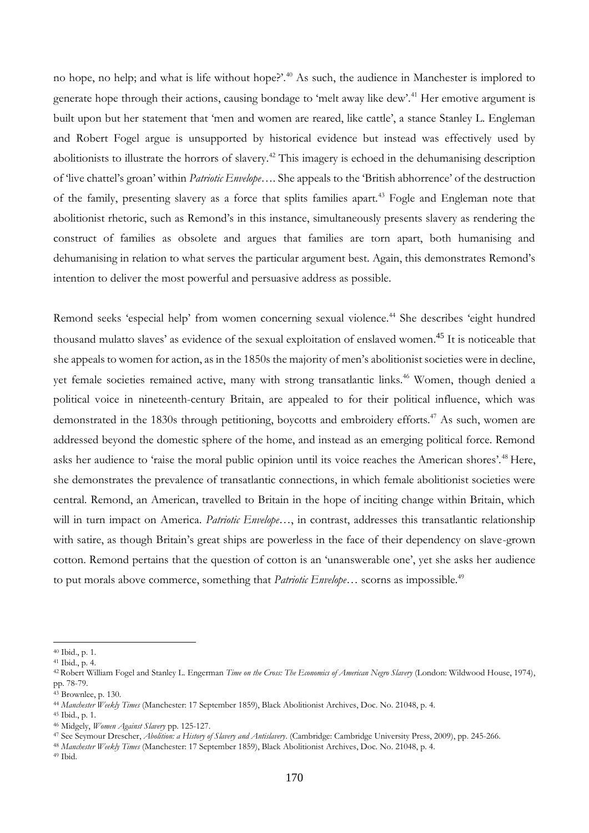no hope, no help; and what is life without hope?'.<sup>40</sup> As such, the audience in Manchester is implored to generate hope through their actions, causing bondage to 'melt away like dew'.<sup>41</sup> Her emotive argument is built upon but her statement that 'men and women are reared, like cattle', a stance Stanley L. Engleman and Robert Fogel argue is unsupported by historical evidence but instead was effectively used by abolitionists to illustrate the horrors of slavery.<sup>42</sup> This imagery is echoed in the dehumanising description of 'live chattel's groan' within *Patriotic Envelope…*. She appeals to the 'British abhorrence' of the destruction of the family, presenting slavery as a force that splits families apart.<sup>43</sup> Fogle and Engleman note that abolitionist rhetoric, such as Remond's in this instance, simultaneously presents slavery as rendering the construct of families as obsolete and argues that families are torn apart, both humanising and dehumanising in relation to what serves the particular argument best. Again, this demonstrates Remond's intention to deliver the most powerful and persuasive address as possible.

Remond seeks 'especial help' from women concerning sexual violence.<sup>44</sup> She describes 'eight hundred thousand mulatto slaves' as evidence of the sexual exploitation of enslaved women. <sup>45</sup> It is noticeable that she appeals to women for action, as in the 1850s the majority of men's abolitionist societies were in decline, yet female societies remained active, many with strong transatlantic links.<sup>46</sup> Women, though denied a political voice in nineteenth-century Britain, are appealed to for their political influence, which was demonstrated in the 1830s through petitioning, boycotts and embroidery efforts.<sup>47</sup> As such, women are addressed beyond the domestic sphere of the home, and instead as an emerging political force. Remond asks her audience to 'raise the moral public opinion until its voice reaches the American shores'.<sup>48</sup> Here, she demonstrates the prevalence of transatlantic connections, in which female abolitionist societies were central. Remond, an American, travelled to Britain in the hope of inciting change within Britain, which will in turn impact on America. *Patriotic Envelope…*, in contrast, addresses this transatlantic relationship with satire, as though Britain's great ships are powerless in the face of their dependency on slave-grown cotton. Remond pertains that the question of cotton is an 'unanswerable one', yet she asks her audience to put morals above commerce, something that *Patriotic Envelope...* scorns as impossible.<sup>49</sup>

<sup>40</sup> Ibid., p. 1.

<sup>41</sup> Ibid., p. 4.

<sup>42</sup> Robert William Fogel and Stanley L. Engerman *Time on the Cross: The Economics of American Negro Slavery* (London: Wildwood House, 1974), pp. 78-79.

<sup>43</sup> Brownlee, p. 130.

<sup>44</sup> *Manchester Weekly Times* (Manchester: 17 September 1859), Black Abolitionist Archives, Doc. No. 21048, p. 4.

<sup>45</sup> Ibid., p. 1.

<sup>46</sup> Midgely, *Women Against Slavery* pp. 125-127.

<sup>47</sup> See Seymour Drescher, *Abolition: a History of Slavery and Antislavery*. (Cambridge: Cambridge University Press, 2009), pp. 245-266.

<sup>48</sup> *Manchester Weekly Times* (Manchester: 17 September 1859), Black Abolitionist Archives, Doc. No. 21048, p. 4.

<sup>49</sup> Ibid.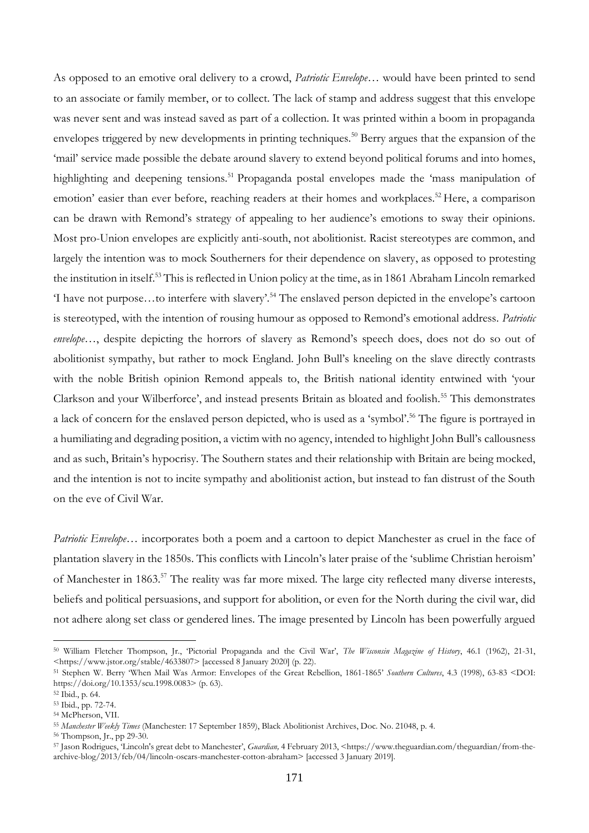As opposed to an emotive oral delivery to a crowd, *Patriotic Envelope…* would have been printed to send to an associate or family member, or to collect. The lack of stamp and address suggest that this envelope was never sent and was instead saved as part of a collection. It was printed within a boom in propaganda envelopes triggered by new developments in printing techniques.<sup>50</sup> Berry argues that the expansion of the 'mail' service made possible the debate around slavery to extend beyond political forums and into homes, highlighting and deepening tensions.<sup>51</sup> Propaganda postal envelopes made the 'mass manipulation of emotion' easier than ever before, reaching readers at their homes and workplaces.<sup>52</sup> Here, a comparison can be drawn with Remond's strategy of appealing to her audience's emotions to sway their opinions. Most pro-Union envelopes are explicitly anti-south, not abolitionist. Racist stereotypes are common, and largely the intention was to mock Southerners for their dependence on slavery, as opposed to protesting the institution in itself.<sup>53</sup> This is reflected in Union policy at the time, as in 1861 Abraham Lincoln remarked 'I have not purpose…to interfere with slavery'.<sup>54</sup> The enslaved person depicted in the envelope's cartoon is stereotyped, with the intention of rousing humour as opposed to Remond's emotional address. *Patriotic envelope...*, despite depicting the horrors of slavery as Remond's speech does, does not do so out of abolitionist sympathy, but rather to mock England. John Bull's kneeling on the slave directly contrasts with the noble British opinion Remond appeals to, the British national identity entwined with 'your Clarkson and your Wilberforce', and instead presents Britain as bloated and foolish.<sup>55</sup> This demonstrates a lack of concern for the enslaved person depicted, who is used as a 'symbol'.<sup>56</sup> The figure is portrayed in a humiliating and degrading position, a victim with no agency, intended to highlight John Bull's callousness and as such, Britain's hypocrisy. The Southern states and their relationship with Britain are being mocked, and the intention is not to incite sympathy and abolitionist action, but instead to fan distrust of the South on the eve of Civil War.

*Patriotic Envelope...* incorporates both a poem and a cartoon to depict Manchester as cruel in the face of plantation slavery in the 1850s. This conflicts with Lincoln's later praise of the 'sublime Christian heroism' of Manchester in 1863.<sup>57</sup> The reality was far more mixed. The large city reflected many diverse interests, beliefs and political persuasions, and support for abolition, or even for the North during the civil war, did not adhere along set class or gendered lines. The image presented by Lincoln has been powerfully argued

<sup>50</sup> William Fletcher Thompson, Jr., 'Pictorial Propaganda and the Civil War', *The Wisconsin Magazine of History*, 46.1 (1962), 21-31, <https://www.jstor.org/stable/4633807> [accessed 8 January 2020] (p. 22).

<sup>51</sup> Stephen W. Berry 'When Mail Was Armor: Envelopes of the Great Rebellion, 1861-1865' *Southern Cultures*, 4.3 (1998), 63-83 <DOI: https://doi.org/10.1353/scu.1998.0083> (p. 63).

<sup>52</sup> Ibid., p. 64.

<sup>53</sup> Ibid., pp. 72-74.

<sup>54</sup> McPherson, VII.

<sup>55</sup> *Manchester Weekly Times* (Manchester: 17 September 1859), Black Abolitionist Archives, Doc. No. 21048, p. 4.

<sup>56</sup> Thompson, Jr., pp 29-30.

<sup>57</sup> Jason Rodrigues, 'Lincoln's great debt to Manchester', *Guardian,* 4 February 2013, <https://www.theguardian.com/theguardian/from-thearchive-blog/2013/feb/04/lincoln-oscars-manchester-cotton-abraham> [accessed 3 January 2019].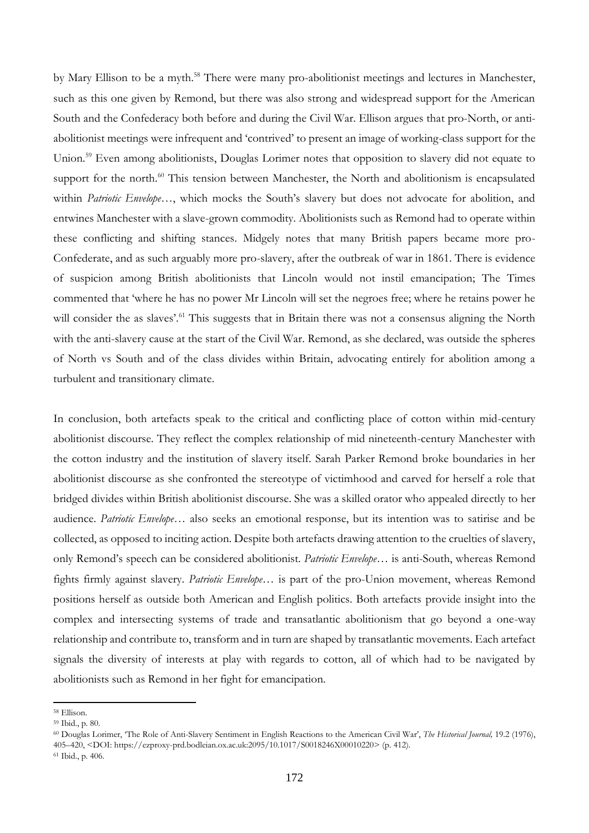by Mary Ellison to be a myth.<sup>58</sup> There were many pro-abolitionist meetings and lectures in Manchester, such as this one given by Remond, but there was also strong and widespread support for the American South and the Confederacy both before and during the Civil War. Ellison argues that pro-North, or antiabolitionist meetings were infrequent and 'contrived' to present an image of working-class support for the Union.<sup>59</sup> Even among abolitionists, Douglas Lorimer notes that opposition to slavery did not equate to support for the north.<sup>60</sup> This tension between Manchester, the North and abolitionism is encapsulated within *Patriotic Envelope…*, which mocks the South's slavery but does not advocate for abolition, and entwines Manchester with a slave-grown commodity. Abolitionists such as Remond had to operate within these conflicting and shifting stances. Midgely notes that many British papers became more pro-Confederate, and as such arguably more pro-slavery, after the outbreak of war in 1861. There is evidence of suspicion among British abolitionists that Lincoln would not instil emancipation; The Times commented that 'where he has no power Mr Lincoln will set the negroes free; where he retains power he will consider the as slaves'.<sup>61</sup> This suggests that in Britain there was not a consensus aligning the North with the anti-slavery cause at the start of the Civil War. Remond, as she declared, was outside the spheres of North vs South and of the class divides within Britain, advocating entirely for abolition among a turbulent and transitionary climate.

In conclusion, both artefacts speak to the critical and conflicting place of cotton within mid-century abolitionist discourse. They reflect the complex relationship of mid nineteenth-century Manchester with the cotton industry and the institution of slavery itself. Sarah Parker Remond broke boundaries in her abolitionist discourse as she confronted the stereotype of victimhood and carved for herself a role that bridged divides within British abolitionist discourse. She was a skilled orator who appealed directly to her audience. *Patriotic Envelope…* also seeks an emotional response, but its intention was to satirise and be collected, as opposed to inciting action. Despite both artefacts drawing attention to the cruelties of slavery, only Remond's speech can be considered abolitionist. *Patriotic Envelope…* is anti-South, whereas Remond fights firmly against slavery. *Patriotic Envelope…* is part of the pro-Union movement, whereas Remond positions herself as outside both American and English politics. Both artefacts provide insight into the complex and intersecting systems of trade and transatlantic abolitionism that go beyond a one-way relationship and contribute to, transform and in turn are shaped by transatlantic movements. Each artefact signals the diversity of interests at play with regards to cotton, all of which had to be navigated by abolitionists such as Remond in her fight for emancipation.

<sup>58</sup> Ellison.

<sup>59</sup> Ibid., p. 80.

<sup>60</sup> Douglas Lorimer, 'The Role of Anti-Slavery Sentiment in English Reactions to the American Civil War', *The Historical Journal,* 19.2 (1976), 405–420, <DOI: https://ezproxy-prd.bodleian.ox.ac.uk:2095/10.1017/S0018246X00010220> (p. 412).

<sup>61</sup> Ibid., p. 406.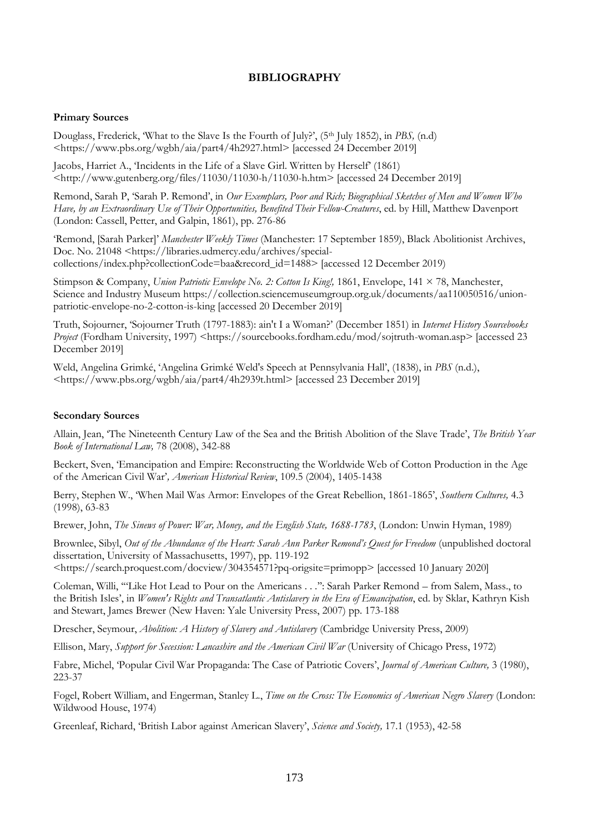# **BIBLIOGRAPHY**

#### **Primary Sources**

Douglass, Frederick, 'What to the Slave Is the Fourth of July?', (5<sup>th</sup> July 1852), in *PBS*, (n.d) <https://www.pbs.org/wgbh/aia/part4/4h2927.html> [accessed 24 December 2019]

Jacobs, Harriet A., 'Incidents in the Life of a Slave Girl. Written by Herself' (1861)  $\kappa$ http://www.gutenberg.org/files/11030/11030-h/11030-h.htm> [accessed 24 December 2019]

Remond, Sarah P, 'Sarah P. Remond', in *Our Exemplars, Poor and Rich; Biographical Sketches of Men and Women Who Have, by an Extraordinary Use of Their Opportunities, Benefited Their Fellow-Creatures*, ed. by Hill, Matthew Davenport (London: Cassell, Petter, and Galpin, 1861), pp. 276-86

'Remond, [Sarah Parker]' *Manchester Weekly Times* (Manchester: 17 September 1859), Black Abolitionist Archives, Doc. No. 21048 <https://libraries.udmercy.edu/archives/specialcollections/index.php?collectionCode=baa&record\_id=1488> [accessed 12 December 2019)

Stimpson & Company, *Union Patriotic Envelope No. 2: Cotton Is King!,* 1861, Envelope, 141 × 78, Manchester, Science and Industry Museum https://collection.sciencemuseumgroup.org.uk/documents/aa110050516/unionpatriotic-envelope-no-2-cotton-is-king [accessed 20 December 2019]

Truth, Sojourner, 'Sojourner Truth (1797-1883): ain't I a Woman?' (December 1851) in *Internet History Sourcebooks Project* (Fordham University, 1997) <https://sourcebooks.fordham.edu/mod/sojtruth-woman.asp> [accessed 23 December 2019]

Weld, Angelina Grimké, 'Angelina Grimké Weld's Speech at Pennsylvania Hall', (1838), in *PBS* (n.d.), <https://www.pbs.org/wgbh/aia/part4/4h2939t.html> [accessed 23 December 2019]

#### **Secondary Sources**

Allain, Jean, 'The Nineteenth Century Law of the Sea and the British Abolition of the Slave Trade', *The British Year Book of International Law,* 78 (2008), 342-88

Beckert, Sven, 'Emancipation and Empire: Reconstructing the Worldwide Web of Cotton Production in the Age of the American Civil War'*, American Historical Review*, 109.5 (2004), 1405-1438

Berry, Stephen W., 'When Mail Was Armor: Envelopes of the Great Rebellion, 1861-1865', *Southern Cultures,* 4.3 (1998), 63-83

Brewer, John, *The Sinews of Power: War, Money, and the English State, 1688-1783*, (London: Unwin Hyman, 1989)

Brownlee, Sibyl, *Out of the Abundance of the Heart: Sarah Ann Parker Remond's Quest for Freedom* (unpublished doctoral dissertation, University of Massachusetts, 1997), pp. 119-192

<https://search.proquest.com/docview/304354571?pq-origsite=primopp> [accessed 10 January 2020]

Coleman, Willi, '"Like Hot Lead to Pour on the Americans . . .'': Sarah Parker Remond – from Salem, Mass., to the British Isles', in *Women's Rights and Transatlantic Antislavery in the Era of Emancipation*, ed. by Sklar, Kathryn Kish and Stewart, James Brewer (New Haven: Yale University Press, 2007) pp. 173-188

Drescher, Seymour, *Abolition: A History of Slavery and Antislavery* (Cambridge University Press, 2009)

Ellison, Mary, *Support for Secession: Lancashire and the American Civil War* (University of Chicago Press, 1972)

Fabre, Michel, 'Popular Civil War Propaganda: The Case of Patriotic Covers', *Journal of American Culture,* 3 (1980), 223-37

Fogel, Robert William, and Engerman, Stanley L., *Time on the Cross: The Economics of American Negro Slavery* (London: Wildwood House, 1974)

Greenleaf, Richard, 'British Labor against American Slavery', *Science and Society,* 17.1 (1953), 42-58